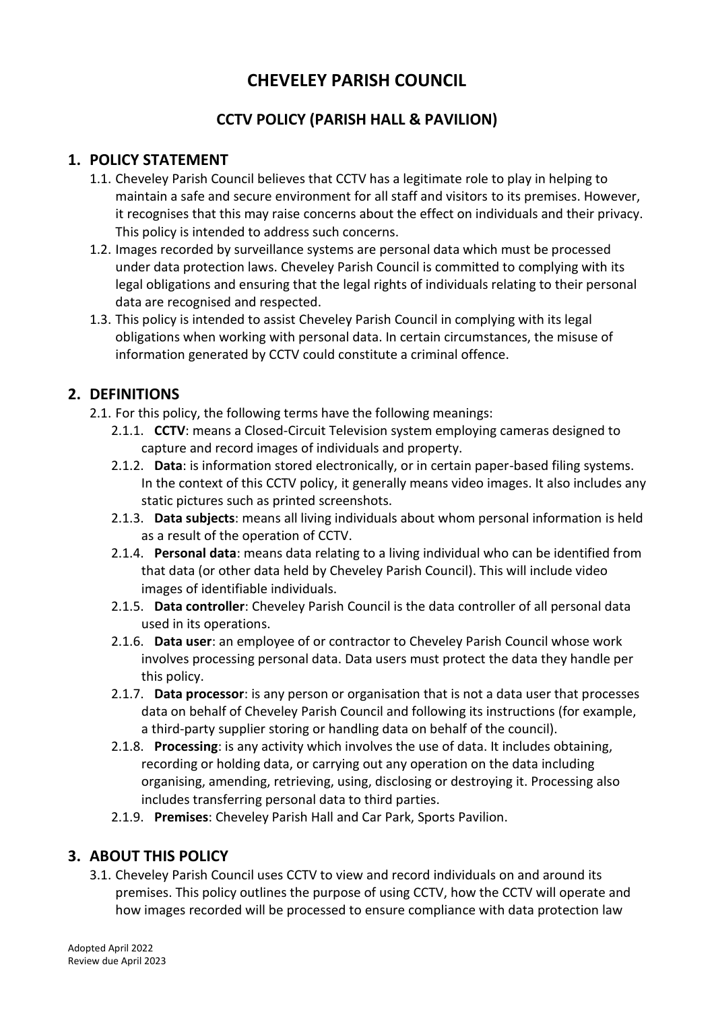# **CHEVELEY PARISH COUNCIL**

# **CCTV POLICY (PARISH HALL & PAVILION)**

## **1. POLICY STATEMENT**

- 1.1. Cheveley Parish Council believes that CCTV has a legitimate role to play in helping to maintain a safe and secure environment for all staff and visitors to its premises. However, it recognises that this may raise concerns about the effect on individuals and their privacy. This policy is intended to address such concerns.
- 1.2. Images recorded by surveillance systems are personal data which must be processed under data protection laws. Cheveley Parish Council is committed to complying with its legal obligations and ensuring that the legal rights of individuals relating to their personal data are recognised and respected.
- 1.3. This policy is intended to assist Cheveley Parish Council in complying with its legal obligations when working with personal data. In certain circumstances, the misuse of information generated by CCTV could constitute a criminal offence.

## **2. DEFINITIONS**

- 2.1. For this policy, the following terms have the following meanings:
	- 2.1.1. **CCTV**: means a Closed-Circuit Television system employing cameras designed to capture and record images of individuals and property.
	- 2.1.2. **Data**: is information stored electronically, or in certain paper-based filing systems. In the context of this CCTV policy, it generally means video images. It also includes any static pictures such as printed screenshots.
	- 2.1.3. **Data subjects**: means all living individuals about whom personal information is held as a result of the operation of CCTV.
	- 2.1.4. **Personal data**: means data relating to a living individual who can be identified from that data (or other data held by Cheveley Parish Council). This will include video images of identifiable individuals.
	- 2.1.5. **Data controller**: Cheveley Parish Council is the data controller of all personal data used in its operations.
	- 2.1.6. **Data user**: an employee of or contractor to Cheveley Parish Council whose work involves processing personal data. Data users must protect the data they handle per this policy.
	- 2.1.7. **Data processor**: is any person or organisation that is not a data user that processes data on behalf of Cheveley Parish Council and following its instructions (for example, a third-party supplier storing or handling data on behalf of the council).
	- 2.1.8. **Processing**: is any activity which involves the use of data. It includes obtaining, recording or holding data, or carrying out any operation on the data including organising, amending, retrieving, using, disclosing or destroying it. Processing also includes transferring personal data to third parties.
	- 2.1.9. **Premises**: Cheveley Parish Hall and Car Park, Sports Pavilion.

#### **3. ABOUT THIS POLICY**

3.1. Cheveley Parish Council uses CCTV to view and record individuals on and around its premises. This policy outlines the purpose of using CCTV, how the CCTV will operate and how images recorded will be processed to ensure compliance with data protection law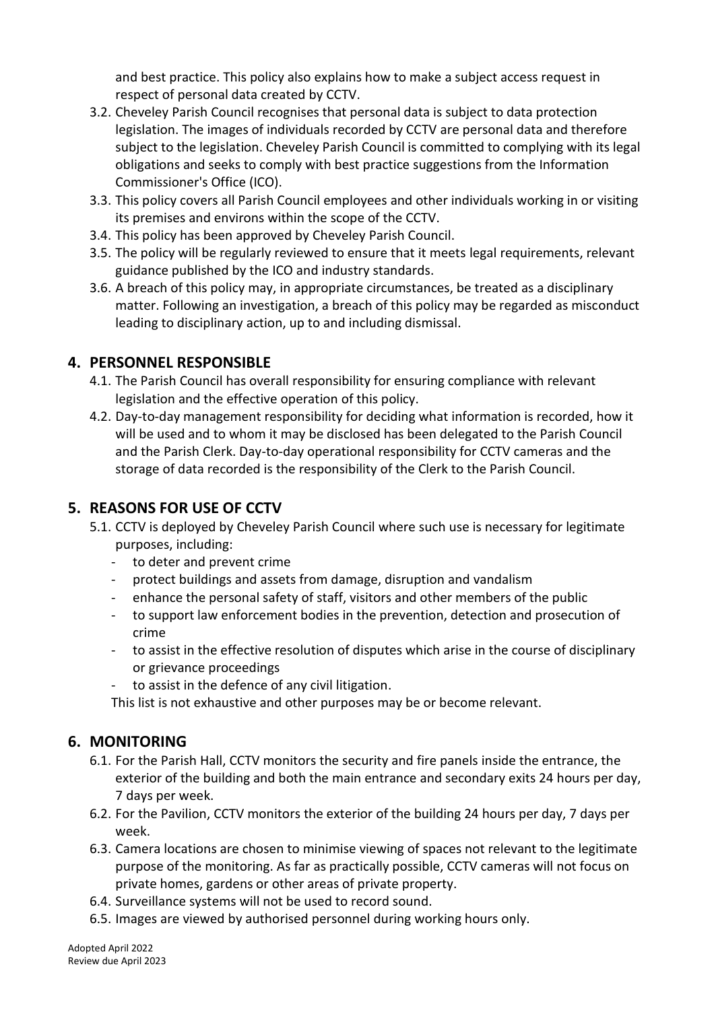and best practice. This policy also explains how to make a subject access request in respect of personal data created by CCTV.

- 3.2. Cheveley Parish Council recognises that personal data is subject to data protection legislation. The images of individuals recorded by CCTV are personal data and therefore subject to the legislation. Cheveley Parish Council is committed to complying with its legal obligations and seeks to comply with best practice suggestions from the Information Commissioner's Office (ICO).
- 3.3. This policy covers all Parish Council employees and other individuals working in or visiting its premises and environs within the scope of the CCTV.
- 3.4. This policy has been approved by Cheveley Parish Council.
- 3.5. The policy will be regularly reviewed to ensure that it meets legal requirements, relevant guidance published by the ICO and industry standards.
- 3.6. A breach of this policy may, in appropriate circumstances, be treated as a disciplinary matter. Following an investigation, a breach of this policy may be regarded as misconduct leading to disciplinary action, up to and including dismissal.

#### **4. PERSONNEL RESPONSIBLE**

- 4.1. The Parish Council has overall responsibility for ensuring compliance with relevant legislation and the effective operation of this policy.
- 4.2. Day-to-day management responsibility for deciding what information is recorded, how it will be used and to whom it may be disclosed has been delegated to the Parish Council and the Parish Clerk. Day-to-day operational responsibility for CCTV cameras and the storage of data recorded is the responsibility of the Clerk to the Parish Council.

#### **5. REASONS FOR USE OF CCTV**

- 5.1. CCTV is deployed by Cheveley Parish Council where such use is necessary for legitimate purposes, including:
	- to deter and prevent crime
	- protect buildings and assets from damage, disruption and vandalism
	- enhance the personal safety of staff, visitors and other members of the public
	- to support law enforcement bodies in the prevention, detection and prosecution of crime
	- to assist in the effective resolution of disputes which arise in the course of disciplinary or grievance proceedings
	- to assist in the defence of any civil litigation.

This list is not exhaustive and other purposes may be or become relevant.

#### **6. MONITORING**

- 6.1. For the Parish Hall, CCTV monitors the security and fire panels inside the entrance, the exterior of the building and both the main entrance and secondary exits 24 hours per day, 7 days per week.
- 6.2. For the Pavilion, CCTV monitors the exterior of the building 24 hours per day, 7 days per week.
- 6.3. Camera locations are chosen to minimise viewing of spaces not relevant to the legitimate purpose of the monitoring. As far as practically possible, CCTV cameras will not focus on private homes, gardens or other areas of private property.
- 6.4. Surveillance systems will not be used to record sound.
- 6.5. Images are viewed by authorised personnel during working hours only.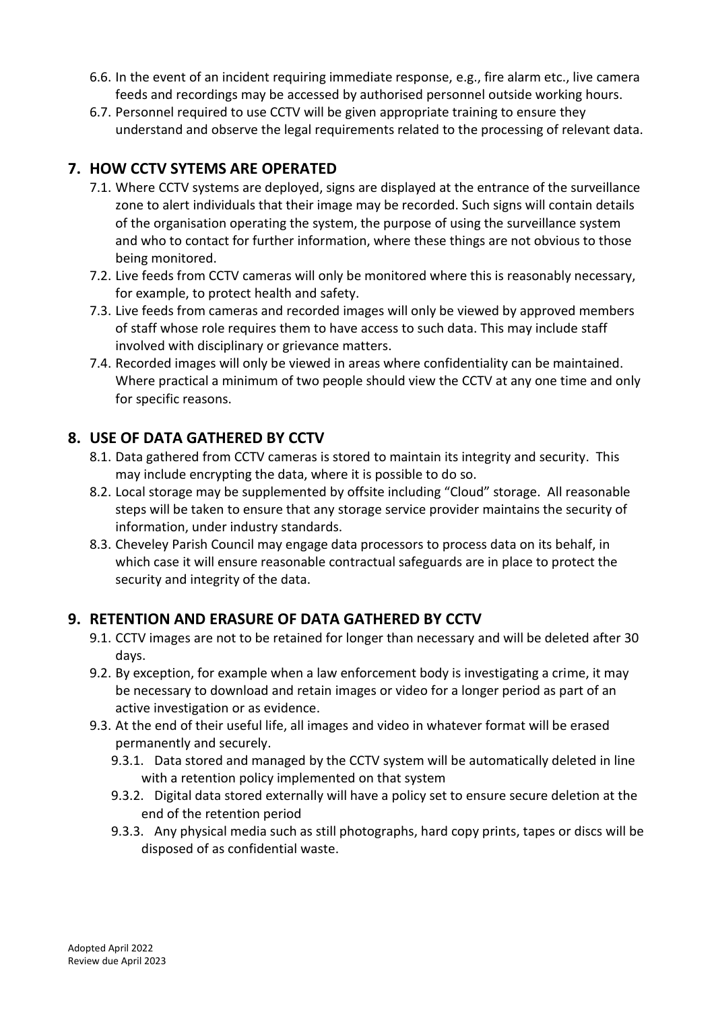- 6.6. In the event of an incident requiring immediate response, e.g., fire alarm etc., live camera feeds and recordings may be accessed by authorised personnel outside working hours.
- 6.7. Personnel required to use CCTV will be given appropriate training to ensure they understand and observe the legal requirements related to the processing of relevant data.

## **7. HOW CCTV SYTEMS ARE OPERATED**

- 7.1. Where CCTV systems are deployed, signs are displayed at the entrance of the surveillance zone to alert individuals that their image may be recorded. Such signs will contain details of the organisation operating the system, the purpose of using the surveillance system and who to contact for further information, where these things are not obvious to those being monitored.
- 7.2. Live feeds from CCTV cameras will only be monitored where this is reasonably necessary, for example, to protect health and safety.
- 7.3. Live feeds from cameras and recorded images will only be viewed by approved members of staff whose role requires them to have access to such data. This may include staff involved with disciplinary or grievance matters.
- 7.4. Recorded images will only be viewed in areas where confidentiality can be maintained. Where practical a minimum of two people should view the CCTV at any one time and only for specific reasons.

## **8. USE OF DATA GATHERED BY CCTV**

- 8.1. Data gathered from CCTV cameras is stored to maintain its integrity and security. This may include encrypting the data, where it is possible to do so.
- 8.2. Local storage may be supplemented by offsite including "Cloud" storage. All reasonable steps will be taken to ensure that any storage service provider maintains the security of information, under industry standards.
- 8.3. Cheveley Parish Council may engage data processors to process data on its behalf, in which case it will ensure reasonable contractual safeguards are in place to protect the security and integrity of the data.

# **9. RETENTION AND ERASURE OF DATA GATHERED BY CCTV**

- 9.1. CCTV images are not to be retained for longer than necessary and will be deleted after 30 days.
- 9.2. By exception, for example when a law enforcement body is investigating a crime, it may be necessary to download and retain images or video for a longer period as part of an active investigation or as evidence.
- 9.3. At the end of their useful life, all images and video in whatever format will be erased permanently and securely.
	- 9.3.1. Data stored and managed by the CCTV system will be automatically deleted in line with a retention policy implemented on that system
	- 9.3.2. Digital data stored externally will have a policy set to ensure secure deletion at the end of the retention period
	- 9.3.3. Any physical media such as still photographs, hard copy prints, tapes or discs will be disposed of as confidential waste.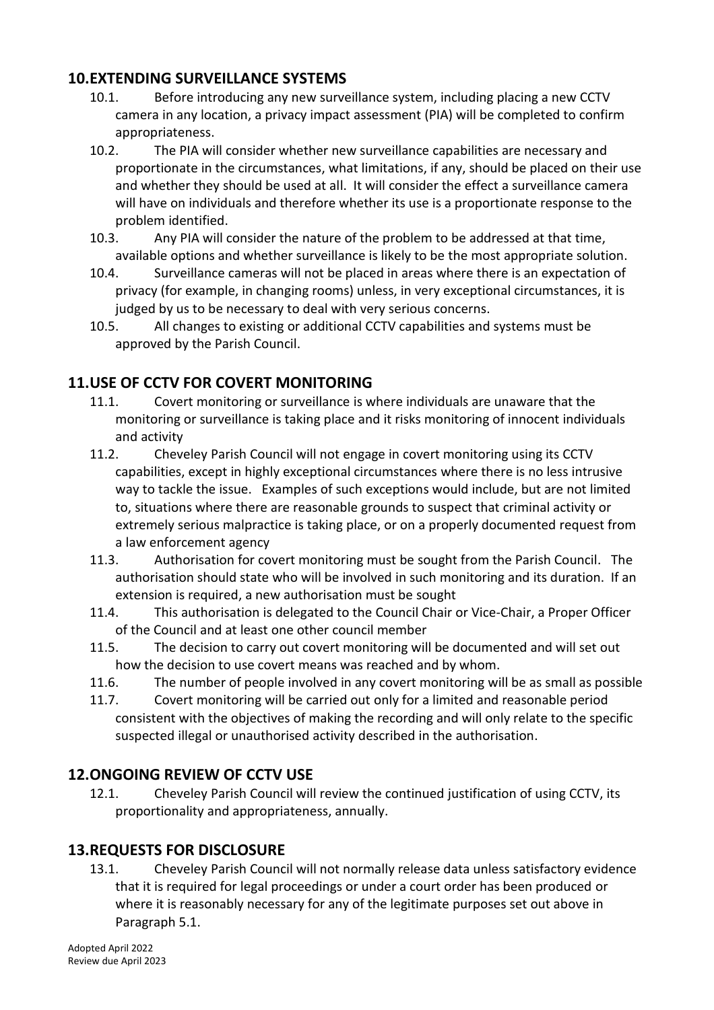### **10.EXTENDING SURVEILLANCE SYSTEMS**

- 10.1. Before introducing any new surveillance system, including placing a new CCTV camera in any location, a privacy impact assessment (PIA) will be completed to confirm appropriateness.
- 10.2. The PIA will consider whether new surveillance capabilities are necessary and proportionate in the circumstances, what limitations, if any, should be placed on their use and whether they should be used at all. It will consider the effect a surveillance camera will have on individuals and therefore whether its use is a proportionate response to the problem identified.
- 10.3. Any PIA will consider the nature of the problem to be addressed at that time, available options and whether surveillance is likely to be the most appropriate solution.
- 10.4. Surveillance cameras will not be placed in areas where there is an expectation of privacy (for example, in changing rooms) unless, in very exceptional circumstances, it is judged by us to be necessary to deal with very serious concerns.
- 10.5. All changes to existing or additional CCTV capabilities and systems must be approved by the Parish Council.

## **11.USE OF CCTV FOR COVERT MONITORING**

- 11.1. Covert monitoring or surveillance is where individuals are unaware that the monitoring or surveillance is taking place and it risks monitoring of innocent individuals and activity
- 11.2. Cheveley Parish Council will not engage in covert monitoring using its CCTV capabilities, except in highly exceptional circumstances where there is no less intrusive way to tackle the issue. Examples of such exceptions would include, but are not limited to, situations where there are reasonable grounds to suspect that criminal activity or extremely serious malpractice is taking place, or on a properly documented request from a law enforcement agency
- 11.3. Authorisation for covert monitoring must be sought from the Parish Council. The authorisation should state who will be involved in such monitoring and its duration. If an extension is required, a new authorisation must be sought
- 11.4. This authorisation is delegated to the Council Chair or Vice-Chair, a Proper Officer of the Council and at least one other council member
- 11.5. The decision to carry out covert monitoring will be documented and will set out how the decision to use covert means was reached and by whom.
- 11.6. The number of people involved in any covert monitoring will be as small as possible
- 11.7. Covert monitoring will be carried out only for a limited and reasonable period consistent with the objectives of making the recording and will only relate to the specific suspected illegal or unauthorised activity described in the authorisation.

#### **12.ONGOING REVIEW OF CCTV USE**

12.1. Cheveley Parish Council will review the continued justification of using CCTV, its proportionality and appropriateness, annually.

# **13.REQUESTS FOR DISCLOSURE**

13.1. Cheveley Parish Council will not normally release data unless satisfactory evidence that it is required for legal proceedings or under a court order has been produced or where it is reasonably necessary for any of the legitimate purposes set out above in Paragraph 5.1.

Adopted April 2022 Review due April 2023